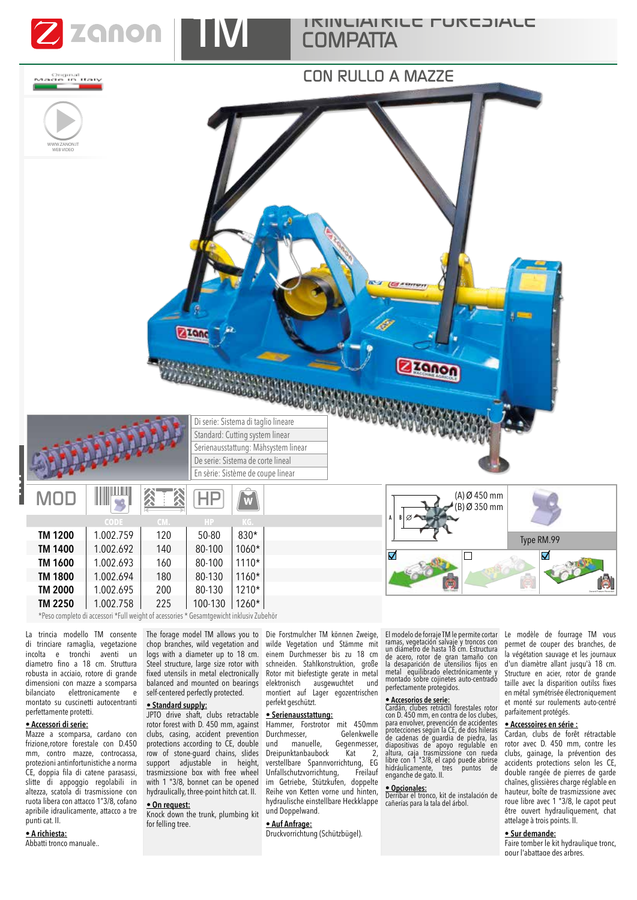

*TRINCIATRICE FORESTALE COMPATTA*

# *CON RULLO A MAZZE* Griginal<br>Maxde in Italy WWW.ZANON.IT WEB VIDEO ZZQDo zanon **MARINE AND STATE** Di serie: Sistema di taglio lineare Standard: Cutting system linear Serienausstattung: Mähsystem linear De serie: Sistema de corte lineal En sèrie: Sistème de coupe linear *MOD* (A) Ø 450 mm *HP*  $\overline{W}$ (B) Ø 350 mm A B **CODE CM. HP KG. TM 1200** 1.002.759 120 50-80 830\* Type RM.99 **TM 1400** 1.002.692 140 80-100 1060\*  $\overline{\mathsf{v}}$ Г V **TM 1600** 1.002.693 160 80-100 1110\* **TM 1800** 1.002.694 180 80-130 1160\*

\*Peso completo di accessori \*Full weight of acessories \* Gesamtgewicht inklusiv Zubehör

**TM 2000** 1.002.695 200 80-130 1210\* **TM 2250** 1.002.758 225 100-130 1260\*

La trincia modello TM consente di trinciare ramaglia, vegetazione incolta e tronchi aventi un diametro fno a 18 cm. Struttura robusta in acciaio, rotore di grande dimensioni con mazze a scomparsa  $b$ ilanciato elettronicamente montato su cuscinetti autocentranti perfettamente protetti.

### • **Accessori di serie:**

*TM*

Mazze a scomparsa, cardano con frizione,rotore forestale con D.450 mm, contro mazze, controcassa, protezioni antinfortunistiche a norma CE, doppia fila di catene parasassi, slitte di appoggio regolabili in altezza, scatola di trasmissione con ruota libera con attacco 1"3/8, cofano apribile idraulicamente, attacco a tre punti cat. II.

### • **A richiesta:**

Abbatti tronco manuale..

The forage model TM allows you to chop branches, wild vegetation and logs with a diameter up to 18 cm. Steel structure, large size rotor with fixed utensils in metal electronically balanced and mounted on bearings self-centered perfectly protected.

### • **Standard supply:**

JPTO drive shaft, clubs retractable rotor forest with D. 450 mm, against clubs, casing, accident prevention protections according to CE, double row of stone-guard chains, slides support adjustable in height, trasmizssione box with free wheel with 1 "3/8, bonnet can be opened hydraulically, three-point hitch cat. II.

# • **On request:**

Knock down the trunk, plumbing kit for felling tree.

Die Forstmulcher TM können Zweige, wilde Vegetation und Stämme mit einem Durchmesser bis zu 18 cm schneiden. Stahlkonstruktion, große Rotor mit biefestigte gerate in metal elektronisch ausgewuchtet und montiert auf Lager egozentrischen perfekt geschützt.

### • **Serienausstattung:**

Hammer, Forstrotor mit 450mm<br>Durchmesser, Gelenkwelle Durchmesser,<br>und manuelle, Gegenmesser,<br>Kat 2, Dreipunktanbaubock verstellbare Spannvorrichtung, EG Unfallschutzvorrichtung, Freilauf im Getriebe, Stützkufen, doppelte Reihe von Ketten vorne und hinten, hydraulische einstellbare Heckklappe und Doppelwand.

# • **Auf Anfrage:**

Druckvorrichtung (Schützbügel).

El modelo de forraje TM le permite cortar<br>ramas, vegetación salvaje y troncos con<br>un diámetro de hasta 18 cm. Estructura<br>de acero, rotor de gran tamaño con<br>la desaparición de utensilios fijos en metal equilibrado electrónicamente y montado sobre cojinetes auto-centrado perfectamente protegidos.

• **Accesorios de serie:** Cardán, clubes retráctil forestales rotor con D. 450 mm, en contra de los clubes, para envolver, prevención de accidentes protecciones ségún la CE, de dos hileras<br>de cadenas de guardia de piedra, las<br>diapositivas de apoyo regulable en<br>altura, caja trasmizssione con rueda<br>libre con 1 "3/8, el capó puede abrirse<br>hidráulicamente, tres puntos de<br>

### • **Opcionales:**

Derribar el tronco, kit de instalación de cañerías para la tala del árbol.

Le modèle de fourrage TM vous permet de couper des branches, de la végétation sauvage et les journaux d'un diamètre allant jusqu'à 18 cm. Structure en acier, rotor de grande taille avec la disparition outilss fixes en métal symétrisée électroniquement et monté sur roulements auto-centré parfaitement protégés.

### • **Accessoires en série :**

Cardan, clubs de forêt rétractable rotor avec D. 450 mm, contre les clubs, gainage, la prévention des accidents protections selon les CE, double rangée de pierres de garde chaînes, glissières charge réglable en hauteur, boîte de trasmizssione avec roue libre avec 1 "3/8, le capot peut être ouvert hydrauliquement, chat attelage à trois points. II.

## • **Sur demande:**

Faire tomber le kit hydraulique tronc, pour l'abattage des arbres.